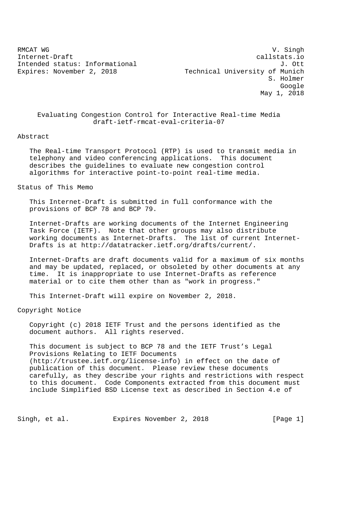RMCAT WG SINGLE SERVICE SERVICES AND RELEASE OF STREET AND RELEASE OF STREET AND RELEASE OF STREET AND RELEASE OF STREET AND RELEASE OF STREET AND RELEASE OF STREET AND RELEASE OF STREET AND RELEASE OF STREET AND RELEASE O Internet-Draft callstats.io Intended status: Informational  $J.$  Ott Expires: November 2, 2018 Technical University of Munich S. Holmer Google May 1, 2018

 Evaluating Congestion Control for Interactive Real-time Media draft-ietf-rmcat-eval-criteria-07

Abstract

 The Real-time Transport Protocol (RTP) is used to transmit media in telephony and video conferencing applications. This document describes the guidelines to evaluate new congestion control algorithms for interactive point-to-point real-time media.

Status of This Memo

 This Internet-Draft is submitted in full conformance with the provisions of BCP 78 and BCP 79.

 Internet-Drafts are working documents of the Internet Engineering Task Force (IETF). Note that other groups may also distribute working documents as Internet-Drafts. The list of current Internet- Drafts is at http://datatracker.ietf.org/drafts/current/.

 Internet-Drafts are draft documents valid for a maximum of six months and may be updated, replaced, or obsoleted by other documents at any time. It is inappropriate to use Internet-Drafts as reference material or to cite them other than as "work in progress."

This Internet-Draft will expire on November 2, 2018.

Copyright Notice

 Copyright (c) 2018 IETF Trust and the persons identified as the document authors. All rights reserved.

 This document is subject to BCP 78 and the IETF Trust's Legal Provisions Relating to IETF Documents (http://trustee.ietf.org/license-info) in effect on the date of publication of this document. Please review these documents carefully, as they describe your rights and restrictions with respect to this document. Code Components extracted from this document must include Simplified BSD License text as described in Section 4.e of

Singh, et al. Expires November 2, 2018 [Page 1]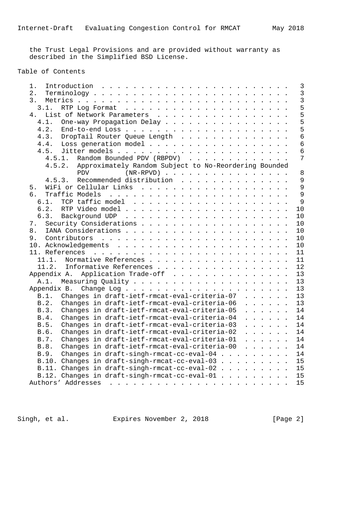the Trust Legal Provisions and are provided without warranty as described in the Simplified BSD License.

# Table of Contents

| 1.                                                                                                      | 3               |
|---------------------------------------------------------------------------------------------------------|-----------------|
| 2.                                                                                                      | $\overline{3}$  |
| 3.                                                                                                      | $\overline{3}$  |
| 3.1.                                                                                                    | 5               |
| List of Network Parameters<br>4.                                                                        | 5               |
| 4.1.<br>One-way Propagation Delay                                                                       | 5               |
| 4.2.                                                                                                    | 5               |
| 4.3.<br>DropTail Router Queue Length                                                                    | $6\overline{6}$ |
| 4.4. Loss generation model                                                                              | $6\overline{6}$ |
|                                                                                                         | $\overline{6}$  |
| Random Bounded PDV (RBPDV)<br>4.5.1.                                                                    | 7               |
| 4.5.2. Approximately Random Subject to No-Reordering Bounded                                            |                 |
| <b>PDV</b><br>$(NR-RPVD)$                                                                               | $\,8\,$         |
| Recommended distribution<br>4.5.3.                                                                      | 9               |
| 5.                                                                                                      | 9               |
| б.                                                                                                      | 9               |
| 6.1.                                                                                                    | 9               |
| 6.2.                                                                                                    | 10              |
|                                                                                                         | 10              |
| 7.                                                                                                      | 10              |
| 8.                                                                                                      | 10              |
| 9.                                                                                                      | 10              |
|                                                                                                         | 10              |
|                                                                                                         | 11              |
| Normative References<br>11.1.                                                                           | 11              |
| Informative References<br>11.2.                                                                         | 12              |
| Application Trade-off<br>Appendix A.                                                                    | 13              |
| A.1.                                                                                                    | 13              |
|                                                                                                         | 13              |
| Changes in draft-ietf-rmcat-eval-criteria-07<br>B.1.                                                    | 13              |
| Changes in draft-ietf-rmcat-eval-criteria-06<br>B.2.<br>$\cdot$ $\cdot$ $\cdot$ $\cdot$ $\cdot$ $\cdot$ | 13              |
| Changes in draft-ietf-rmcat-eval-criteria-05<br>B.3.<br>$\cdot$ $\cdot$ $\cdot$ $\cdot$ $\cdot$ $\cdot$ | 14              |
| Changes in draft-ietf-rmcat-eval-criteria-04<br>B.4.<br>$\ddot{\phantom{a}}$                            | 14              |
| Changes in draft-ietf-rmcat-eval-criteria-03<br>B.5.<br>.                                               | 14              |
| Changes in draft-ietf-rmcat-eval-criteria-02<br>B.6.<br>$\cdot$ $\cdot$ $\cdot$ $\cdot$ $\cdot$ $\cdot$ | 14              |
| Changes in draft-ietf-rmcat-eval-criteria-01<br>B.7.<br>$\cdot$ $\cdot$ $\cdot$ $\cdot$ $\cdot$ $\cdot$ | 14              |
| Changes in draft-ietf-rmcat-eval-criteria-00<br>B.8.                                                    | 14              |
| Changes in draft-singh-rmcat-cc-eval-04<br>B.9.                                                         | 14              |
|                                                                                                         | 15              |
| B.10. Changes in draft-singh-rmcat-cc-eval-03                                                           | 15              |
| B.11. Changes in draft-singh-rmcat-cc-eval-02                                                           |                 |
| B.12. Changes in draft-singh-rmcat-cc-eval-01                                                           | 15              |
|                                                                                                         | 15              |

Singh, et al. Expires November 2, 2018 [Page 2]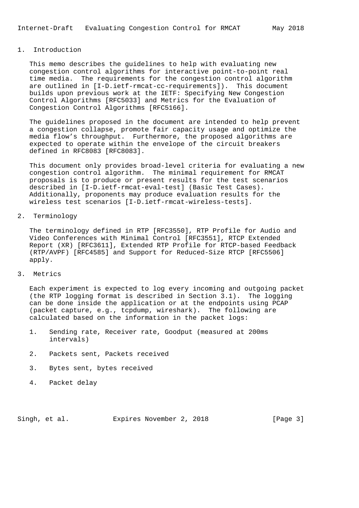# 1. Introduction

 This memo describes the guidelines to help with evaluating new congestion control algorithms for interactive point-to-point real time media. The requirements for the congestion control algorithm are outlined in [I-D.ietf-rmcat-cc-requirements]). This document builds upon previous work at the IETF: Specifying New Congestion Control Algorithms [RFC5033] and Metrics for the Evaluation of Congestion Control Algorithms [RFC5166].

 The guidelines proposed in the document are intended to help prevent a congestion collapse, promote fair capacity usage and optimize the media flow's throughput. Furthermore, the proposed algorithms are expected to operate within the envelope of the circuit breakers defined in RFC8083 [RFC8083].

 This document only provides broad-level criteria for evaluating a new congestion control algorithm. The minimal requirement for RMCAT proposals is to produce or present results for the test scenarios described in [I-D.ietf-rmcat-eval-test] (Basic Test Cases). Additionally, proponents may produce evaluation results for the wireless test scenarios [I-D.ietf-rmcat-wireless-tests].

# 2. Terminology

 The terminology defined in RTP [RFC3550], RTP Profile for Audio and Video Conferences with Minimal Control [RFC3551], RTCP Extended Report (XR) [RFC3611], Extended RTP Profile for RTCP-based Feedback (RTP/AVPF) [RFC4585] and Support for Reduced-Size RTCP [RFC5506] apply.

# 3. Metrics

 Each experiment is expected to log every incoming and outgoing packet (the RTP logging format is described in Section 3.1). The logging can be done inside the application or at the endpoints using PCAP (packet capture, e.g., tcpdump, wireshark). The following are calculated based on the information in the packet logs:

- 1. Sending rate, Receiver rate, Goodput (measured at 200ms intervals)
- 2. Packets sent, Packets received
- 3. Bytes sent, bytes received
- 4. Packet delay

Singh, et al. Expires November 2, 2018 [Page 3]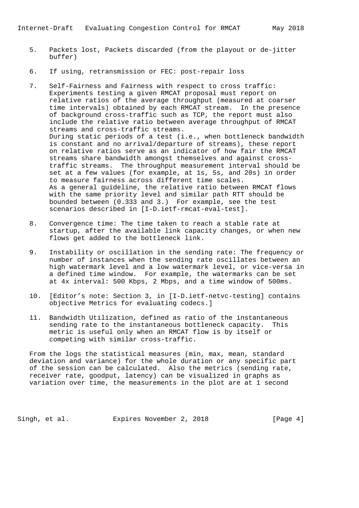- 5. Packets lost, Packets discarded (from the playout or de-jitter buffer)
- 6. If using, retransmission or FEC: post-repair loss
- 7. Self-Fairness and Fairness with respect to cross traffic: Experiments testing a given RMCAT proposal must report on relative ratios of the average throughput (measured at coarser time intervals) obtained by each RMCAT stream. In the presence of background cross-traffic such as TCP, the report must also include the relative ratio between average throughput of RMCAT streams and cross-traffic streams. During static periods of a test (i.e., when bottleneck bandwidth is constant and no arrival/departure of streams), these report on relative ratios serve as an indicator of how fair the RMCAT streams share bandwidth amongst themselves and against cross traffic streams. The throughput measurement interval should be set at a few values (for example, at 1s, 5s, and 20s) in order to measure fairness across different time scales. As a general guideline, the relative ratio between RMCAT flows with the same priority level and similar path RTT should be bounded between (0.333 and 3.) For example, see the test scenarios described in [I-D.ietf-rmcat-eval-test].
- 8. Convergence time: The time taken to reach a stable rate at startup, after the available link capacity changes, or when new flows get added to the bottleneck link.
- 9. Instability or oscillation in the sending rate: The frequency or number of instances when the sending rate oscillates between an high watermark level and a low watermark level, or vice-versa in a defined time window. For example, the watermarks can be set at 4x interval: 500 Kbps, 2 Mbps, and a time window of 500ms.
- 10. [Editor's note: Section 3, in [I-D.ietf-netvc-testing] contains objective Metrics for evaluating codecs.]
- 11. Bandwidth Utilization, defined as ratio of the instantaneous sending rate to the instantaneous bottleneck capacity. This metric is useful only when an RMCAT flow is by itself or competing with similar cross-traffic.

 From the logs the statistical measures (min, max, mean, standard deviation and variance) for the whole duration or any specific part of the session can be calculated. Also the metrics (sending rate, receiver rate, goodput, latency) can be visualized in graphs as variation over time, the measurements in the plot are at 1 second

Singh, et al. Expires November 2, 2018 [Page 4]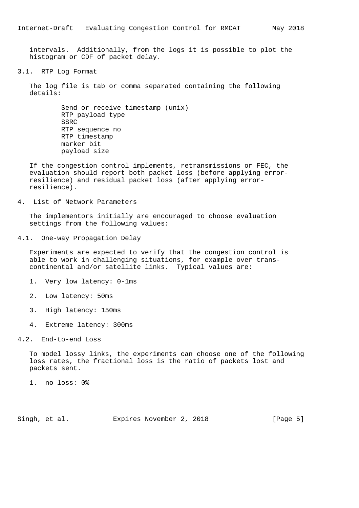intervals. Additionally, from the logs it is possible to plot the histogram or CDF of packet delay.

3.1. RTP Log Format

 The log file is tab or comma separated containing the following details:

> Send or receive timestamp (unix) RTP payload type SSRC RTP sequence no RTP timestamp marker bit payload size

 If the congestion control implements, retransmissions or FEC, the evaluation should report both packet loss (before applying error resilience) and residual packet loss (after applying error resilience).

4. List of Network Parameters

 The implementors initially are encouraged to choose evaluation settings from the following values:

4.1. One-way Propagation Delay

 Experiments are expected to verify that the congestion control is able to work in challenging situations, for example over trans continental and/or satellite links. Typical values are:

- 1. Very low latency: 0-1ms
- 2. Low latency: 50ms
- 3. High latency: 150ms
- 4. Extreme latency: 300ms

## 4.2. End-to-end Loss

 To model lossy links, the experiments can choose one of the following loss rates, the fractional loss is the ratio of packets lost and packets sent.

1. no loss: 0%

Singh, et al. Expires November 2, 2018 [Page 5]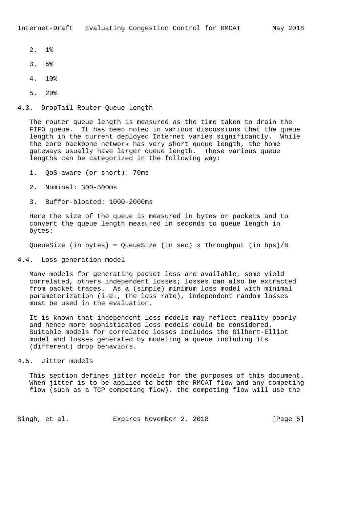- 2. 1%
- 3. 5%
- 4. 10%
- 5. 20%

#### 4.3. DropTail Router Queue Length

 The router queue length is measured as the time taken to drain the FIFO queue. It has been noted in various discussions that the queue length in the current deployed Internet varies significantly. While the core backbone network has very short queue length, the home gateways usually have larger queue length. Those various queue lengths can be categorized in the following way:

- 1. QoS-aware (or short): 70ms
- 2. Nominal: 300-500ms
- 3. Buffer-bloated: 1000-2000ms

 Here the size of the queue is measured in bytes or packets and to convert the queue length measured in seconds to queue length in bytes:

QueueSize (in bytes) = QueueSize (in sec) x Throughput (in bps)/8

# 4.4. Loss generation model

 Many models for generating packet loss are available, some yield correlated, others independent losses; losses can also be extracted from packet traces. As a (simple) minimum loss model with minimal parameterization (i.e., the loss rate), independent random losses must be used in the evaluation.

 It is known that independent loss models may reflect reality poorly and hence more sophisticated loss models could be considered. Suitable models for correlated losses includes the Gilbert-Elliot model and losses generated by modeling a queue including its (different) drop behaviors.

### 4.5. Jitter models

 This section defines jitter models for the purposes of this document. When jitter is to be applied to both the RMCAT flow and any competing flow (such as a TCP competing flow), the competing flow will use the

Singh, et al. Expires November 2, 2018 [Page 6]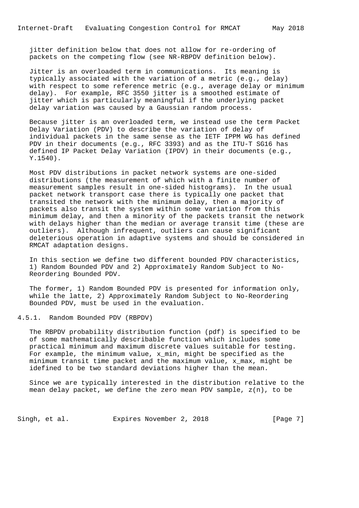jitter definition below that does not allow for re-ordering of packets on the competing flow (see NR-RBPDV definition below).

 Jitter is an overloaded term in communications. Its meaning is typically associated with the variation of a metric (e.g., delay) with respect to some reference metric (e.g., average delay or minimum delay). For example, RFC 3550 jitter is a smoothed estimate of jitter which is particularly meaningful if the underlying packet delay variation was caused by a Gaussian random process.

 Because jitter is an overloaded term, we instead use the term Packet Delay Variation (PDV) to describe the variation of delay of individual packets in the same sense as the IETF IPPM WG has defined PDV in their documents (e.g., RFC 3393) and as the ITU-T SG16 has defined IP Packet Delay Variation (IPDV) in their documents (e.g., Y.1540).

 Most PDV distributions in packet network systems are one-sided distributions (the measurement of which with a finite number of measurement samples result in one-sided histograms). In the usual packet network transport case there is typically one packet that transited the network with the minimum delay, then a majority of packets also transit the system within some variation from this minimum delay, and then a minority of the packets transit the network with delays higher than the median or average transit time (these are outliers). Although infrequent, outliers can cause significant deleterious operation in adaptive systems and should be considered in RMCAT adaptation designs.

 In this section we define two different bounded PDV characteristics, 1) Random Bounded PDV and 2) Approximately Random Subject to No- Reordering Bounded PDV.

 The former, 1) Random Bounded PDV is presented for information only, while the latte, 2) Approximately Random Subject to No-Reordering Bounded PDV, must be used in the evaluation.

# 4.5.1. Random Bounded PDV (RBPDV)

 The RBPDV probability distribution function (pdf) is specified to be of some mathematically describable function which includes some practical minimum and maximum discrete values suitable for testing. For example, the minimum value,  $x$  min, might be specified as the minimum transit time packet and the maximum value, x\_max, might be idefined to be two standard deviations higher than the mean.

 Since we are typically interested in the distribution relative to the mean delay packet, we define the zero mean PDV sample, z(n), to be

Singh, et al. Expires November 2, 2018 [Page 7]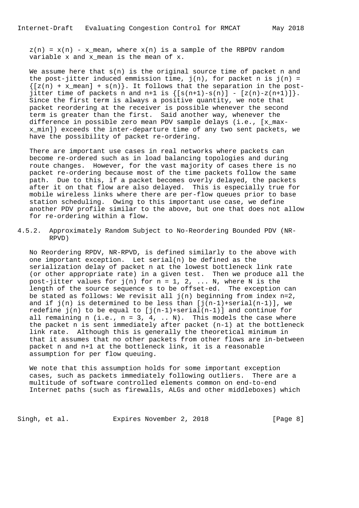$z(n) = x(n) - x$  mean, where  $x(n)$  is a sample of the RBPDV random variable x and x\_mean is the mean of x.

We assume here that  $s(n)$  is the original source time of packet n and the post-jitter induced emmission time,  $j(n)$ , for packet n is  $j(n)$  =  ${ [z(n) + x_mean] + s(n)}$ . It follows that the separation in the postjitter time of packets n and n+1 is  $\{[s(n+1)-s(n)] - [z(n)-z(n+1)]\}$ . Since the first term is always a positive quantity, we note that packet reordering at the receiver is possible whenever the second term is greater than the first. Said another way, whenever the difference in possible zero mean PDV sample delays (i.e., [x\_max x\_min]) exceeds the inter-departure time of any two sent packets, we have the possibility of packet re-ordering.

 There are important use cases in real networks where packets can become re-ordered such as in load balancing topologies and during route changes. However, for the vast majority of cases there is no packet re-ordering because most of the time packets follow the same path. Due to this, if a packet becomes overly delayed, the packets after it on that flow are also delayed. This is especially true for mobile wireless links where there are per-flow queues prior to base station scheduling. Owing to this important use case, we define another PDV profile similar to the above, but one that does not allow for re-ordering within a flow.

4.5.2. Approximately Random Subject to No-Reordering Bounded PDV (NR- RPVD)

 No Reordering RPDV, NR-RPVD, is defined similarly to the above with one important exception. Let serial(n) be defined as the serialization delay of packet n at the lowest bottleneck link rate (or other appropriate rate) in a given test. Then we produce all the post-jitter values for  $j(n)$  for  $n = 1, 2, ... N$ , where N is the length of the source sequence s to be offset-ed. The exception can be stated as follows: We revisit all  $j(n)$  beginning from index  $n=2$ , and if  $j(n)$  is determined to be less than  $[j(n-1)+\text{serial}(n-1)]$ , we redefine  $j(n)$  to be equal to  $[j(n-1)+\text{serial}(n-1)]$  and continue for all remaining n (i.e.,  $n = 3, 4, ... N$ ). This models the case where the packet n is sent immediately after packet (n-1) at the bottleneck link rate. Although this is generally the theoretical minimum in that it assumes that no other packets from other flows are in-between packet n and n+1 at the bottleneck link, it is a reasonable assumption for per flow queuing.

 We note that this assumption holds for some important exception cases, such as packets immediately following outliers. There are a multitude of software controlled elements common on end-to-end Internet paths (such as firewalls, ALGs and other middleboxes) which

Singh, et al. Expires November 2, 2018 [Page 8]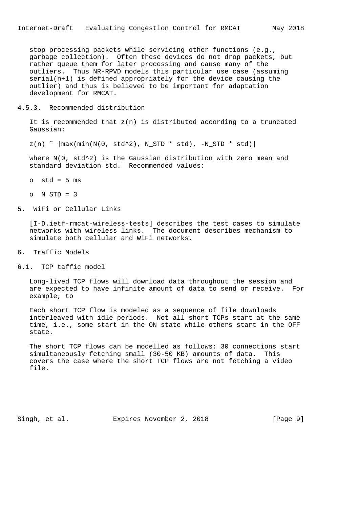stop processing packets while servicing other functions (e.g., garbage collection). Often these devices do not drop packets, but rather queue them for later processing and cause many of the outliers. Thus NR-RPVD models this particular use case (assuming serial(n+1) is defined appropriately for the device causing the outlier) and thus is believed to be important for adaptation development for RMCAT.

#### 4.5.3. Recommended distribution

It is recommended that  $z(n)$  is distributed according to a truncated Gaussian:

 $z(n)$   $\sim$   $|\max(\min(N(0, std^2), NSTD * std), -NSTD * std)|$ 

where  $N(0, std^2)$  is the Gaussian distribution with zero mean and standard deviation std. Recommended values:

- $o$  std = 5  $ms$
- o N\_STD = 3
- 5. WiFi or Cellular Links

 [I-D.ietf-rmcat-wireless-tests] describes the test cases to simulate networks with wireless links. The document describes mechanism to simulate both cellular and WiFi networks.

- 6. Traffic Models
- 6.1. TCP taffic model

 Long-lived TCP flows will download data throughout the session and are expected to have infinite amount of data to send or receive. For example, to

 Each short TCP flow is modeled as a sequence of file downloads interleaved with idle periods. Not all short TCPs start at the same time, i.e., some start in the ON state while others start in the OFF state.

 The short TCP flows can be modelled as follows: 30 connections start simultaneously fetching small (30-50 KB) amounts of data. This covers the case where the short TCP flows are not fetching a video file.

Singh, et al. Expires November 2, 2018 [Page 9]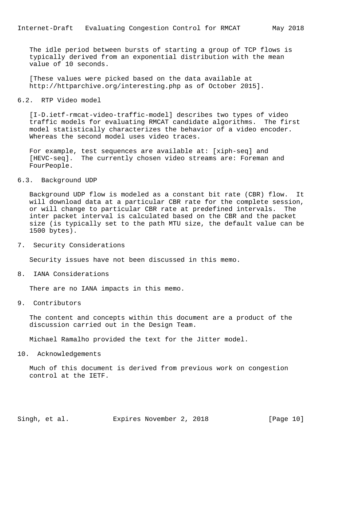The idle period between bursts of starting a group of TCP flows is typically derived from an exponential distribution with the mean value of 10 seconds.

 [These values were picked based on the data available at http://httparchive.org/interesting.php as of October 2015].

#### 6.2. RTP Video model

 [I-D.ietf-rmcat-video-traffic-model] describes two types of video traffic models for evaluating RMCAT candidate algorithms. The first model statistically characterizes the behavior of a video encoder. Whereas the second model uses video traces.

 For example, test sequences are available at: [xiph-seq] and [HEVC-seq]. The currently chosen video streams are: Foreman and FourPeople.

#### 6.3. Background UDP

 Background UDP flow is modeled as a constant bit rate (CBR) flow. It will download data at a particular CBR rate for the complete session, or will change to particular CBR rate at predefined intervals. The inter packet interval is calculated based on the CBR and the packet size (is typically set to the path MTU size, the default value can be 1500 bytes).

7. Security Considerations

Security issues have not been discussed in this memo.

8. IANA Considerations

There are no IANA impacts in this memo.

9. Contributors

 The content and concepts within this document are a product of the discussion carried out in the Design Team.

Michael Ramalho provided the text for the Jitter model.

10. Acknowledgements

 Much of this document is derived from previous work on congestion control at the IETF.

Singh, et al. Expires November 2, 2018 [Page 10]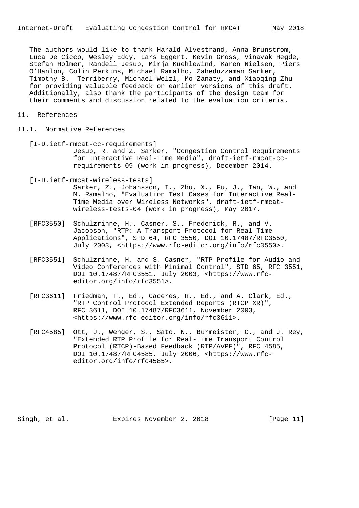The authors would like to thank Harald Alvestrand, Anna Brunstrom, Luca De Cicco, Wesley Eddy, Lars Eggert, Kevin Gross, Vinayak Hegde, Stefan Holmer, Randell Jesup, Mirja Kuehlewind, Karen Nielsen, Piers O'Hanlon, Colin Perkins, Michael Ramalho, Zaheduzzaman Sarker, Timothy B. Terriberry, Michael Welzl, Mo Zanaty, and Xiaoqing Zhu for providing valuable feedback on earlier versions of this draft. Additionally, also thank the participants of the design team for their comments and discussion related to the evaluation criteria.

- 11. References
- 11.1. Normative References
	- [I-D.ietf-rmcat-cc-requirements] Jesup, R. and Z. Sarker, "Congestion Control Requirements for Interactive Real-Time Media", draft-ietf-rmcat-cc requirements-09 (work in progress), December 2014.
	- [I-D.ietf-rmcat-wireless-tests] Sarker, Z., Johansson, I., Zhu, X., Fu, J., Tan, W., and M. Ramalho, "Evaluation Test Cases for Interactive Real- Time Media over Wireless Networks", draft-ietf-rmcat wireless-tests-04 (work in progress), May 2017.
	- [RFC3550] Schulzrinne, H., Casner, S., Frederick, R., and V. Jacobson, "RTP: A Transport Protocol for Real-Time Applications", STD 64, RFC 3550, DOI 10.17487/RFC3550, July 2003, <https://www.rfc-editor.org/info/rfc3550>.
	- [RFC3551] Schulzrinne, H. and S. Casner, "RTP Profile for Audio and Video Conferences with Minimal Control", STD 65, RFC 3551, DOI 10.17487/RFC3551, July 2003, <https://www.rfc editor.org/info/rfc3551>.
	- [RFC3611] Friedman, T., Ed., Caceres, R., Ed., and A. Clark, Ed., "RTP Control Protocol Extended Reports (RTCP XR)", RFC 3611, DOI 10.17487/RFC3611, November 2003, <https://www.rfc-editor.org/info/rfc3611>.
	- [RFC4585] Ott, J., Wenger, S., Sato, N., Burmeister, C., and J. Rey, "Extended RTP Profile for Real-time Transport Control Protocol (RTCP)-Based Feedback (RTP/AVPF)", RFC 4585, DOI 10.17487/RFC4585, July 2006, <https://www.rfc editor.org/info/rfc4585>.

Singh, et al. Expires November 2, 2018 [Page 11]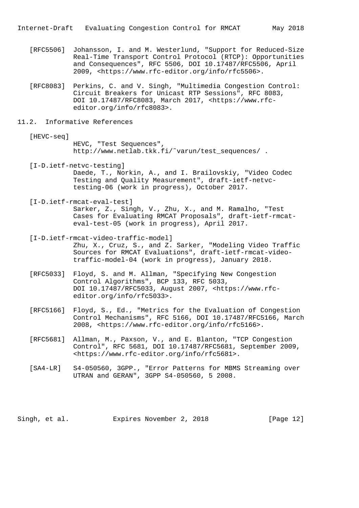- [RFC5506] Johansson, I. and M. Westerlund, "Support for Reduced-Size Real-Time Transport Control Protocol (RTCP): Opportunities and Consequences", RFC 5506, DOI 10.17487/RFC5506, April 2009, <https://www.rfc-editor.org/info/rfc5506>.
- [RFC8083] Perkins, C. and V. Singh, "Multimedia Congestion Control: Circuit Breakers for Unicast RTP Sessions", RFC 8083, DOI 10.17487/RFC8083, March 2017, <https://www.rfc editor.org/info/rfc8083>.

### 11.2. Informative References

- [HEVC-seq] HEVC, "Test Sequences", http://www.netlab.tkk.fi/˜varun/test\_sequences/ .
- [I-D.ietf-netvc-testing] Daede, T., Norkin, A., and I. Brailovskiy, "Video Codec Testing and Quality Measurement", draft-ietf-netvc testing-06 (work in progress), October 2017.
- [I-D.ietf-rmcat-eval-test] Sarker, Z., Singh, V., Zhu, X., and M. Ramalho, "Test Cases for Evaluating RMCAT Proposals", draft-ietf-rmcat eval-test-05 (work in progress), April 2017.
- [I-D.ietf-rmcat-video-traffic-model] Zhu, X., Cruz, S., and Z. Sarker, "Modeling Video Traffic Sources for RMCAT Evaluations", draft-ietf-rmcat-video traffic-model-04 (work in progress), January 2018.
- [RFC5033] Floyd, S. and M. Allman, "Specifying New Congestion Control Algorithms", BCP 133, RFC 5033, DOI 10.17487/RFC5033, August 2007, <https://www.rfc editor.org/info/rfc5033>.
- [RFC5166] Floyd, S., Ed., "Metrics for the Evaluation of Congestion Control Mechanisms", RFC 5166, DOI 10.17487/RFC5166, March 2008, <https://www.rfc-editor.org/info/rfc5166>.
- [RFC5681] Allman, M., Paxson, V., and E. Blanton, "TCP Congestion Control", RFC 5681, DOI 10.17487/RFC5681, September 2009, <https://www.rfc-editor.org/info/rfc5681>.
- [SA4-LR] S4-050560, 3GPP., "Error Patterns for MBMS Streaming over UTRAN and GERAN", 3GPP S4-050560, 5 2008.

Singh, et al. Expires November 2, 2018 [Page 12]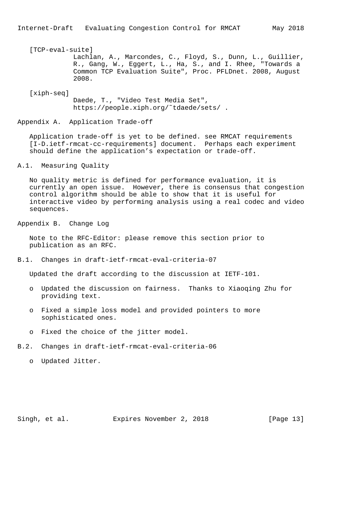# [TCP-eval-suite] Lachlan, A., Marcondes, C., Floyd, S., Dunn, L., Guillier, R., Gang, W., Eggert, L., Ha, S., and I. Rhee, "Towards a Common TCP Evaluation Suite", Proc. PFLDnet. 2008, August 2008.

[xiph-seq]

 Daede, T., "Video Test Media Set", https://people.xiph.org/˜tdaede/sets/ .

Appendix A. Application Trade-off

 Application trade-off is yet to be defined. see RMCAT requirements [I-D.ietf-rmcat-cc-requirements] document. Perhaps each experiment should define the application's expectation or trade-off.

A.1. Measuring Quality

 No quality metric is defined for performance evaluation, it is currently an open issue. However, there is consensus that congestion control algorithm should be able to show that it is useful for interactive video by performing analysis using a real codec and video sequences.

Appendix B. Change Log

 Note to the RFC-Editor: please remove this section prior to publication as an RFC.

B.1. Changes in draft-ietf-rmcat-eval-criteria-07

Updated the draft according to the discussion at IETF-101.

- o Updated the discussion on fairness. Thanks to Xiaoqing Zhu for providing text.
- o Fixed a simple loss model and provided pointers to more sophisticated ones.
- o Fixed the choice of the jitter model.
- B.2. Changes in draft-ietf-rmcat-eval-criteria-06

o Updated Jitter.

Singh, et al. Expires November 2, 2018 [Page 13]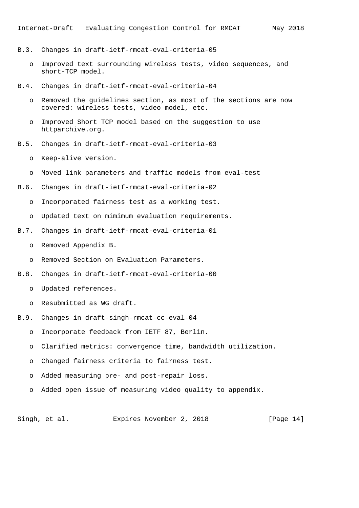- B.3. Changes in draft-ietf-rmcat-eval-criteria-05
	- o Improved text surrounding wireless tests, video sequences, and short-TCP model.
- B.4. Changes in draft-ietf-rmcat-eval-criteria-04
	- o Removed the guidelines section, as most of the sections are now covered: wireless tests, video model, etc.
	- o Improved Short TCP model based on the suggestion to use httparchive.org.
- B.5. Changes in draft-ietf-rmcat-eval-criteria-03
	- o Keep-alive version.
	- o Moved link parameters and traffic models from eval-test
- B.6. Changes in draft-ietf-rmcat-eval-criteria-02
	- o Incorporated fairness test as a working test.
	- o Updated text on mimimum evaluation requirements.
- B.7. Changes in draft-ietf-rmcat-eval-criteria-01
	- o Removed Appendix B.
	- o Removed Section on Evaluation Parameters.
- B.8. Changes in draft-ietf-rmcat-eval-criteria-00
	- o Updated references.
	- o Resubmitted as WG draft.
- B.9. Changes in draft-singh-rmcat-cc-eval-04
	- o Incorporate feedback from IETF 87, Berlin.
		- o Clarified metrics: convergence time, bandwidth utilization.
		- o Changed fairness criteria to fairness test.
		- o Added measuring pre- and post-repair loss.
		- o Added open issue of measuring video quality to appendix.

Singh, et al. Expires November 2, 2018 [Page 14]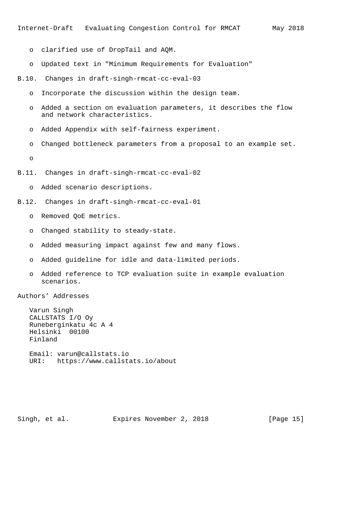- o clarified use of DropTail and AQM.
- o Updated text in "Minimum Requirements for Evaluation"
- B.10. Changes in draft-singh-rmcat-cc-eval-03
	- o Incorporate the discussion within the design team.
	- o Added a section on evaluation parameters, it describes the flow and network characteristics.
	- o Added Appendix with self-fairness experiment.
	- o Changed bottleneck parameters from a proposal to an example set.

o

- B.11. Changes in draft-singh-rmcat-cc-eval-02
	- o Added scenario descriptions.
- B.12. Changes in draft-singh-rmcat-cc-eval-01
	- o Removed QoE metrics.
	- o Changed stability to steady-state.
	- o Added measuring impact against few and many flows.
	- o Added guideline for idle and data-limited periods.
	- o Added reference to TCP evaluation suite in example evaluation scenarios.

Authors' Addresses

 Varun Singh CALLSTATS I/O Oy Runeberginkatu 4c A 4 Helsinki 00100 Finland

 Email: varun@callstats.io URI: https://www.callstats.io/about